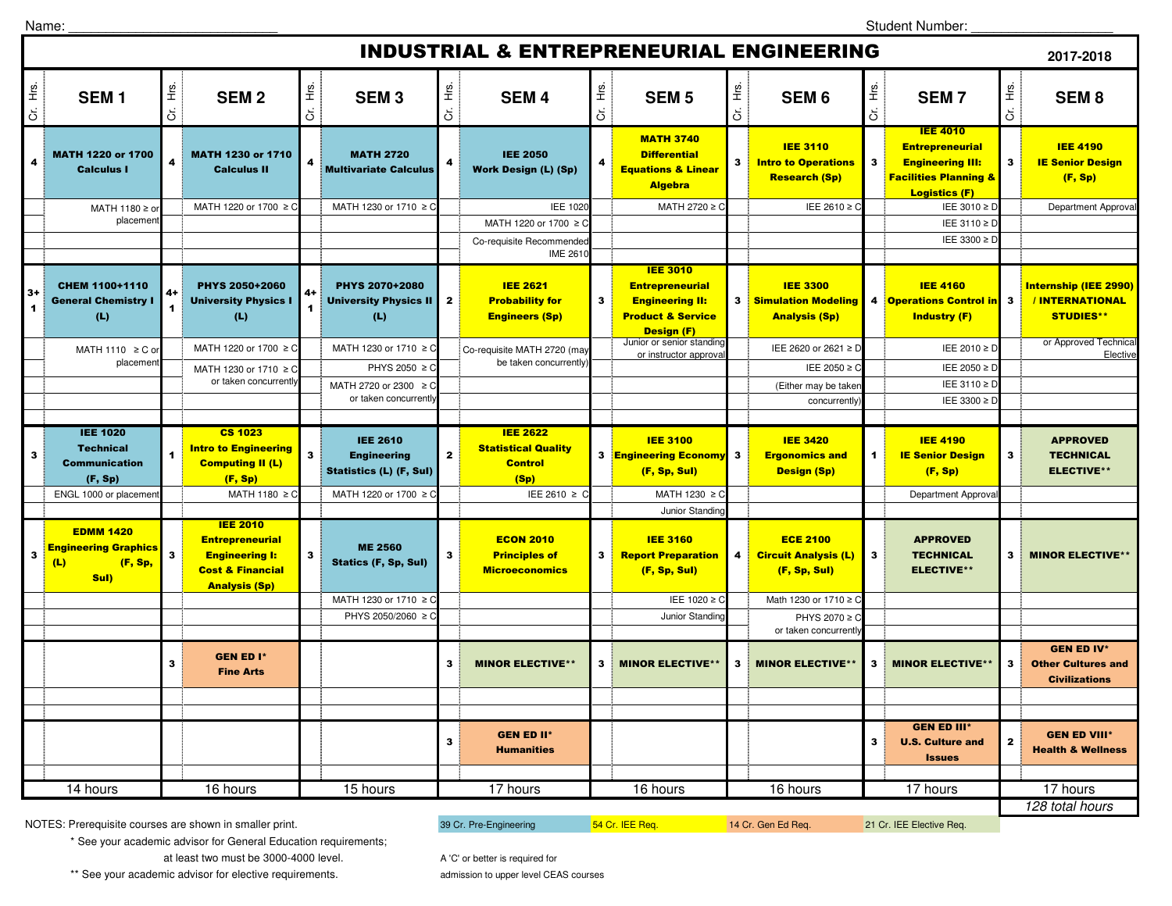Student Number: \_\_\_\_\_\_\_\_\_\_\_\_\_\_\_\_\_\_\_

| <b>INDUSTRIAL &amp; ENTREPRENEURIAL ENGINEERING</b><br>2017-2018 |                                                                           |                         |                                                                                                   |              |                                                                         |              |                                                                         |                            |                                                                                                                          |              |                                                                       |                |                                                                                                                                  |                         |                                                                        |
|------------------------------------------------------------------|---------------------------------------------------------------------------|-------------------------|---------------------------------------------------------------------------------------------------|--------------|-------------------------------------------------------------------------|--------------|-------------------------------------------------------------------------|----------------------------|--------------------------------------------------------------------------------------------------------------------------|--------------|-----------------------------------------------------------------------|----------------|----------------------------------------------------------------------------------------------------------------------------------|-------------------------|------------------------------------------------------------------------|
| Cr. Hrs.                                                         | SEM <sub>1</sub>                                                          | Ηã.<br>$\breve{\sigma}$ | <b>SEM2</b>                                                                                       | Cr. Hrs.     | <b>SEM3</b>                                                             | Η.<br>Ε<br>ä | <b>SEM4</b>                                                             | Ξ.<br>Ε<br>$\ddot{\sigma}$ | <b>SEM<sub>5</sub></b>                                                                                                   | Ξ.<br>Ε<br>ä | SEM <sub>6</sub>                                                      | Hrs.<br>ŏ      | <b>SEM7</b>                                                                                                                      | Cr. Hrs.                | SEM <sub>8</sub>                                                       |
| 4                                                                | MATH 1220 or 1700<br><b>Calculus I</b>                                    | 4                       | MATH 1230 or 1710<br><b>Calculus II</b>                                                           | 4            | <b>MATH 2720</b><br><b>Multivariate Calculus</b>                        | 4            | <b>IEE 2050</b><br><b>Work Design (L) (Sp)</b>                          | $\overline{\mathbf{A}}$    | <b>MATH 3740</b><br><b>Differential</b><br><b>Equations &amp; Linear</b><br><b>Algebra</b>                               | $\mathbf{3}$ | <b>IEE 3110</b><br><b>Intro to Operations</b><br><b>Research (Sp)</b> | $\mathbf{3}$   | <b>IEE 4010</b><br><b>Entrepreneurial</b><br><b>Engineering III:</b><br><b>Facilities Planning &amp;</b><br><b>Logistics (F)</b> | $\mathbf{3}$            | <b>IEE 4190</b><br><b>IE Senior Design</b><br>(F, Sp)                  |
|                                                                  | MATH 1180 ≥ or                                                            |                         | MATH 1220 or 1700 ≥ C                                                                             |              | MATH 1230 or 1710 ≥ C                                                   |              | IEE 1020                                                                |                            | MATH 2720 ≥ C                                                                                                            |              | IEE 2610 ≥ C                                                          |                | IEE 3010 ≥ D                                                                                                                     |                         | Department Approval                                                    |
|                                                                  | placemen                                                                  |                         |                                                                                                   |              |                                                                         |              | MATH 1220 or 1700 ≥ 0                                                   |                            |                                                                                                                          |              |                                                                       |                | IEE 3110 ≥ D                                                                                                                     |                         |                                                                        |
|                                                                  |                                                                           |                         |                                                                                                   |              |                                                                         |              | Co-requisite Recommended<br><b>IME 2610</b>                             |                            |                                                                                                                          |              |                                                                       |                | IEE 3300 ≥ D                                                                                                                     |                         |                                                                        |
| $3+$<br>$\mathbf{1}$                                             | CHEM 1100+1110<br><b>General Chemistry I</b><br>(L)                       | 4+<br>1                 | PHYS 2050+2060<br><b>University Physics I</b><br>(L)                                              | 4+<br>1      | PHYS 2070+2080<br><b>University Physics II</b><br>(L)                   | $\mathbf{z}$ | <b>IEE 2621</b><br><b>Probability for</b><br><b>Engineers (Sp)</b>      | $\mathbf{3}$               | <b>IEE 3010</b><br><b>Entrepreneurial</b><br><b>Engineering II:</b><br><b>Product &amp; Service</b><br><b>Design (F)</b> | 3            | <b>IEE 3300</b><br><b>Simulation Modeling</b><br><b>Analysis (Sp)</b> |                | <b>IEE 4160</b><br>4 Operations Control in 3<br><b>Industry (F)</b>                                                              |                         | <b>Internship (IEE 2990)</b><br>/INTERNATIONAL<br><b>STUDIES**</b>     |
|                                                                  | MATH 1110 ≥ C o<br>placemen                                               |                         | MATH 1220 or 1700 ≥ C                                                                             |              | MATH 1230 or 1710 ≥ C                                                   |              | Co-requisite MATH 2720 (may<br>be taken concurrently)                   |                            | Junior or senior standing<br>or instructor approva                                                                       |              | IEE 2620 or 2621 ≥ D                                                  |                | IEE 2010 ≥ D                                                                                                                     |                         | or Approved Technical<br>Elective                                      |
|                                                                  |                                                                           |                         | MATH 1230 or 1710 ≥ C<br>or taken concurrently                                                    |              | PHYS 2050 ≥ C                                                           |              |                                                                         |                            |                                                                                                                          |              | IEE 2050 ≥ C                                                          |                | IEE 2050 ≥ D                                                                                                                     |                         |                                                                        |
|                                                                  |                                                                           |                         |                                                                                                   |              | MATH 2720 or 2300 ≥ C<br>or taken concurrently                          |              |                                                                         |                            |                                                                                                                          |              | (Either may be taker                                                  |                | IEE 3110 ≥ D                                                                                                                     |                         |                                                                        |
|                                                                  |                                                                           |                         |                                                                                                   |              |                                                                         |              |                                                                         |                            |                                                                                                                          |              | concurrently                                                          |                | IEE 3300 ≥ D                                                                                                                     |                         |                                                                        |
|                                                                  |                                                                           |                         |                                                                                                   |              |                                                                         |              |                                                                         |                            |                                                                                                                          |              |                                                                       |                |                                                                                                                                  |                         |                                                                        |
| 3                                                                | <b>IEE 1020</b><br><b>Technical</b><br><b>Communication</b><br>(F, Sp)    | 1                       | <b>CS 1023</b><br><b>Intro to Engineering</b><br><b>Computing II (L)</b><br>(F, Sp)               | $\mathbf{3}$ | <b>IEE 2610</b><br><b>Engineering</b><br><b>Statistics (L) (F, Sul)</b> | $\mathbf{2}$ | <b>IEE 2622</b><br><b>Statistical Quality</b><br><b>Control</b><br>(Sp) |                            | <b>IEE 3100</b><br>3 Engineering Economy<br>(F, Sp, Sul)                                                                 | $\mathbf{3}$ | <b>IEE 3420</b><br><b>Ergonomics and</b><br>Design (Sp)               | $\blacksquare$ | <b>IEE 4190</b><br><b>IE Senior Design</b><br>(F, Sp)                                                                            | $\overline{\mathbf{3}}$ | <b>APPROVED</b><br><b>TECHNICAL</b><br><b>ELECTIVE**</b>               |
|                                                                  | ENGL 1000 or placemen                                                     |                         | MATH 1180 ≥ C                                                                                     |              | MATH 1220 or 1700 ≥ C                                                   |              | IEE 2610 ≥ C                                                            |                            | MATH 1230 ≥ C                                                                                                            |              |                                                                       |                | Department Approval                                                                                                              |                         |                                                                        |
| $\mathbf{3}$                                                     | <b>EDMM 1420</b><br><b>Engineering Graphics</b><br>(L)<br>(F, Sp,<br>Sul) | $\mathbf{3}$            | <b>IEE 2010</b><br><b>Entrepreneurial</b><br><b>Engineering I:</b><br><b>Cost &amp; Financial</b> | $\mathbf{3}$ | <b>ME 2560</b><br>Statics (F, Sp, Sul)                                  | 3            | <b>ECON 2010</b><br><b>Principles of</b><br><b>Microeconomics</b>       | 3                          | Junior Standing<br><b>IEE 3160</b><br><b>Report Preparation</b><br>(F, Sp, Sul)                                          | 4            | <b>ECE 2100</b><br><b>Circuit Analysis (L)</b><br>(F, Sp, Sul)        | $\mathbf{3}$   | <b>APPROVED</b><br><b>TECHNICAL</b><br><b>ELECTIVE**</b>                                                                         | 3                       | <b>MINOR ELECTIVE**</b>                                                |
|                                                                  |                                                                           |                         | <b>Analysis (Sp)</b>                                                                              |              | MATH 1230 or 1710 ≥ C                                                   |              |                                                                         |                            | IEE 1020 ≥ C                                                                                                             |              | Math 1230 or 1710 ≥ C                                                 |                |                                                                                                                                  |                         |                                                                        |
|                                                                  |                                                                           |                         |                                                                                                   |              | PHYS 2050/2060 ≥ 0                                                      |              |                                                                         |                            | Junior Standing                                                                                                          |              | PHYS 2070 ≥ C                                                         |                |                                                                                                                                  |                         |                                                                        |
|                                                                  |                                                                           |                         |                                                                                                   |              |                                                                         |              |                                                                         |                            |                                                                                                                          |              | or taken concurrently                                                 |                |                                                                                                                                  |                         |                                                                        |
|                                                                  |                                                                           | 3                       | <b>GEN ED I*</b><br><b>Fine Arts</b>                                                              |              |                                                                         | $\mathbf{3}$ | <b>MINOR ELECTIVE**</b>                                                 | $\mathbf{3}$               | <b>MINOR ELECTIVE*</b>                                                                                                   | 3            | <b>MINOR ELECTIVE**</b>                                               | 3              | <b>MINOR ELECTIVE*</b>                                                                                                           | $\mathbf{3}$            | <b>GEN ED IV*</b><br><b>Other Cultures and</b><br><b>Civilizations</b> |
|                                                                  |                                                                           |                         |                                                                                                   |              |                                                                         |              |                                                                         |                            |                                                                                                                          |              |                                                                       |                |                                                                                                                                  |                         |                                                                        |
|                                                                  |                                                                           |                         |                                                                                                   |              |                                                                         | $\mathbf{3}$ | <b>GEN ED II*</b><br><b>Humanities</b>                                  |                            |                                                                                                                          |              |                                                                       | 3              | <b>GEN ED III*</b><br><b>U.S. Culture and</b><br><b>Issues</b>                                                                   | $\mathbf{2}$            | <b>GEN ED VIII*</b><br><b>Health &amp; Wellness</b>                    |
|                                                                  | 14 hours                                                                  |                         | 16 hours                                                                                          |              | 15 hours                                                                |              | 17 hours                                                                |                            | 16 hours                                                                                                                 |              | 16 hours                                                              |                | 17 hours                                                                                                                         |                         | 17 hours                                                               |

NOTES: Prerequisite courses are shown in smaller print.

39 Cr. Pre-Engineering **54 Cr. IEE Req.** 14 Cr. Gen Ed Req. 21 Cr. IEE Elective Req.

 \* See your academic advisor for General Education requirements; at least two must be 3000-4000 level.

\*\* See your academic advisor for elective requirements.

A 'C' or better is required for

admission to upper level CEAS courses